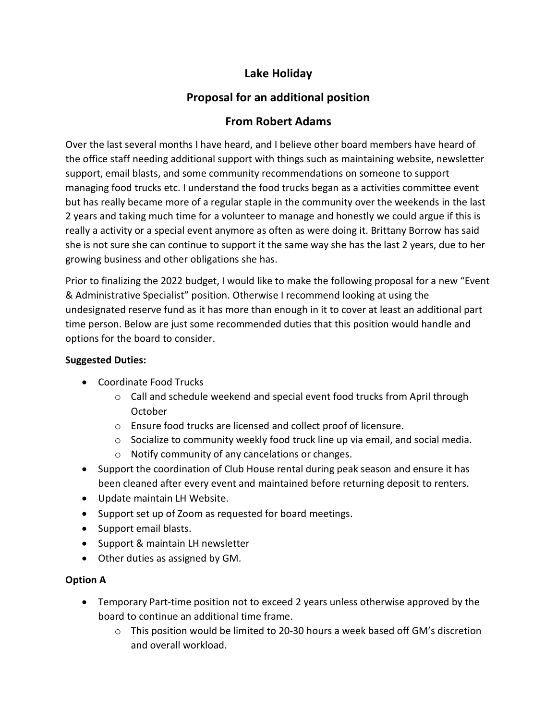## **Lake Holiday**

# **Proposal for an additional position**

### **From Robert Adams**

Over the last several months I have heard, and I believe other board members have heard of the office staff needing additional support with things such as maintaining website, newsletter support, email blasts, and some community recommendations on someone to support managing food trucks etc. I understand the food trucks began as a activities committee event but has really became more of a regular staple in the community over the weekends in the last 2 years and taking much time for a volunteer to manage and honestly we could argue if this is really a activity or a special event anymore as often as were doing it. Brittany Borrow has said she is not sure she can continue to support it the same way she has the last 2 years, due to her growing business and other obligations she has.

Prior to finalizing the 2022 budget, I would like to make the following proposal for a new "Event & Administrative Specialist" position. Otherwise I recommend looking at using the undesignated reserve fund as it has more than enough in it to cover at least an additional part time person. Below are just some recommended duties that this position would handle and options for the board to consider.

#### **Suggested Duties:**

- Coordinate Food Trucks
	- o Call and schedule weekend and special event food trucks from April through October
	- o Ensure food trucks are licensed and collect proof of licensure.
	- o Socialize to community weekly food truck line up via email, and social media.
	- o Notify community of any cancelations or changes.
- Support the coordination of Club House rental during peak season and ensure it has been cleaned after every event and maintained before returning deposit to renters.
- Update maintain LH Website.
- Support set up of Zoom as requested for board meetings.
- Support email blasts.
- Support & maintain LH newsletter
- Other duties as assigned by GM.

#### **Option A**

- Temporary Part-time position not to exceed 2 years unless otherwise approved by the board to continue an additional time frame.
	- $\circ$  This position would be limited to 20-30 hours a week based off GM's discretion and overall workload.